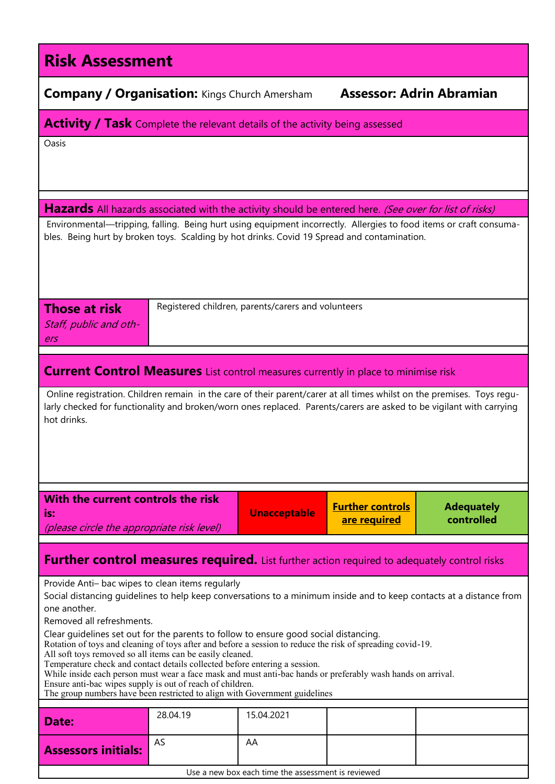| <b>Risk Assessment</b>                                                                                                                                                                                                                                                                                                                                                                                                                                                                                                                                                                                                                                                                                                                                                                                                          |                                                    |                     |                                                                            |  |  |  |  |  |  |
|---------------------------------------------------------------------------------------------------------------------------------------------------------------------------------------------------------------------------------------------------------------------------------------------------------------------------------------------------------------------------------------------------------------------------------------------------------------------------------------------------------------------------------------------------------------------------------------------------------------------------------------------------------------------------------------------------------------------------------------------------------------------------------------------------------------------------------|----------------------------------------------------|---------------------|----------------------------------------------------------------------------|--|--|--|--|--|--|
| <b>Assessor: Adrin Abramian</b><br><b>Company / Organisation: Kings Church Amersham</b>                                                                                                                                                                                                                                                                                                                                                                                                                                                                                                                                                                                                                                                                                                                                         |                                                    |                     |                                                                            |  |  |  |  |  |  |
| <b>Activity / Task</b> Complete the relevant details of the activity being assessed                                                                                                                                                                                                                                                                                                                                                                                                                                                                                                                                                                                                                                                                                                                                             |                                                    |                     |                                                                            |  |  |  |  |  |  |
| Oasis                                                                                                                                                                                                                                                                                                                                                                                                                                                                                                                                                                                                                                                                                                                                                                                                                           |                                                    |                     |                                                                            |  |  |  |  |  |  |
| Hazards All hazards associated with the activity should be entered here. (See over for list of risks)                                                                                                                                                                                                                                                                                                                                                                                                                                                                                                                                                                                                                                                                                                                           |                                                    |                     |                                                                            |  |  |  |  |  |  |
| Environmental—tripping, falling. Being hurt using equipment incorrectly. Allergies to food items or craft consuma-<br>bles. Being hurt by broken toys. Scalding by hot drinks. Covid 19 Spread and contamination.                                                                                                                                                                                                                                                                                                                                                                                                                                                                                                                                                                                                               |                                                    |                     |                                                                            |  |  |  |  |  |  |
| <b>Those at risk</b><br>Staff, public and oth-<br>ers                                                                                                                                                                                                                                                                                                                                                                                                                                                                                                                                                                                                                                                                                                                                                                           | Registered children, parents/carers and volunteers |                     |                                                                            |  |  |  |  |  |  |
| <b>Current Control Measures</b> List control measures currently in place to minimise risk                                                                                                                                                                                                                                                                                                                                                                                                                                                                                                                                                                                                                                                                                                                                       |                                                    |                     |                                                                            |  |  |  |  |  |  |
| Online registration. Children remain in the care of their parent/carer at all times whilst on the premises. Toys regu-<br>larly checked for functionality and broken/worn ones replaced. Parents/carers are asked to be vigilant with carrying<br>hot drinks.                                                                                                                                                                                                                                                                                                                                                                                                                                                                                                                                                                   |                                                    |                     |                                                                            |  |  |  |  |  |  |
| With the current controls the risk<br>is:<br>(please circle the appropriate risk level)                                                                                                                                                                                                                                                                                                                                                                                                                                                                                                                                                                                                                                                                                                                                         |                                                    | <b>Unacceptable</b> | <b>Further controls</b><br><b>Adequately</b><br>controlled<br>are required |  |  |  |  |  |  |
| <b>Further control measures required.</b> List further action required to adequately control risks                                                                                                                                                                                                                                                                                                                                                                                                                                                                                                                                                                                                                                                                                                                              |                                                    |                     |                                                                            |  |  |  |  |  |  |
| Provide Anti- bac wipes to clean items regularly<br>Social distancing guidelines to help keep conversations to a minimum inside and to keep contacts at a distance from<br>one another.<br>Removed all refreshments.<br>Clear guidelines set out for the parents to follow to ensure good social distancing.<br>Rotation of toys and cleaning of toys after and before a session to reduce the risk of spreading covid-19.<br>All soft toys removed so all items can be easily cleaned.<br>Temperature check and contact details collected before entering a session.<br>While inside each person must wear a face mask and must anti-bac hands or preferably wash hands on arrival.<br>Ensure anti-bac wipes supply is out of reach of children.<br>The group numbers have been restricted to align with Government guidelines |                                                    |                     |                                                                            |  |  |  |  |  |  |
| Date:                                                                                                                                                                                                                                                                                                                                                                                                                                                                                                                                                                                                                                                                                                                                                                                                                           | 28.04.19                                           | 15.04.2021          |                                                                            |  |  |  |  |  |  |
| AS<br><b>Assessors initials:</b>                                                                                                                                                                                                                                                                                                                                                                                                                                                                                                                                                                                                                                                                                                                                                                                                |                                                    | AA                  |                                                                            |  |  |  |  |  |  |